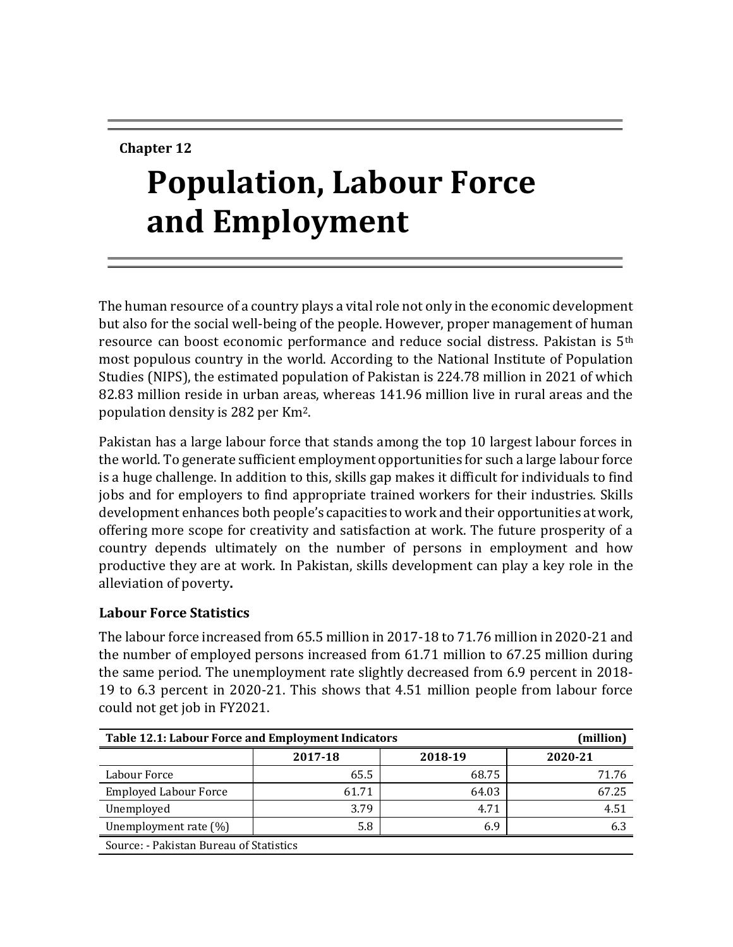# **Chapter 12**

# **Population, Labour Force and Employment**

The human resource of a country plays a vital role not only in the economic development but also for the social well-being of the people. However, proper management of human resource can boost economic performance and reduce social distress. Pakistan is 5th most populous country in the world. According to the National Institute of Population Studies (NIPS), the estimated population of Pakistan is 224.78 million in 2021 of which 82.83 million reside in urban areas, whereas 141.96 million live in rural areas and the population density is 282 per Km2.

Pakistan has a large labour force that stands among the top 10 largest labour forces in the world. To generate sufficient employment opportunities for such a large labour force is a huge challenge. In addition to this, skills gap makes it difficult for individuals to find jobs and for employers to find appropriate trained workers for their industries. Skills development enhances both people's capacities to work and their opportunities at work, offering more scope for creativity and satisfaction at work. The future prosperity of a country depends ultimately on the number of persons in employment and how productive they are at work. In Pakistan, skills development can play a key role in the alleviation of poverty**.**

#### **Labour Force Statistics**

The labour force increased from 65.5 million in 2017-18 to 71.76 million in 2020-21 and the number of employed persons increased from 61.71 million to 67.25 million during the same period. The unemployment rate slightly decreased from 6.9 percent in 2018- 19 to 6.3 percent in 2020-21. This shows that 4.51 million people from labour force could not get job in FY2021.

| Table 12.1: Labour Force and Employment Indicators |         |         |         |  |  |
|----------------------------------------------------|---------|---------|---------|--|--|
|                                                    | 2017-18 | 2018-19 | 2020-21 |  |  |
| Labour Force                                       | 65.5    | 68.75   | 71.76   |  |  |
| <b>Employed Labour Force</b>                       | 61.71   | 64.03   | 67.25   |  |  |
| Unemployed                                         | 3.79    | 4.71    | 4.51    |  |  |
| Unemployment rate (%)                              | 5.8     | 6.9     | 6.3     |  |  |
| Source: - Pakistan Bureau of Statistics            |         |         |         |  |  |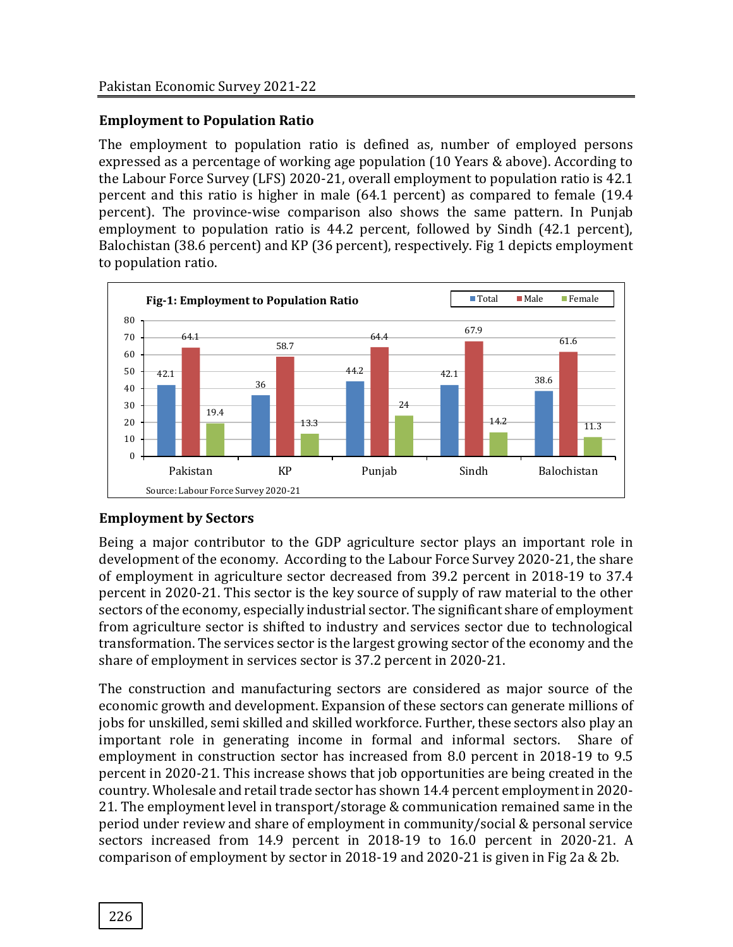#### **Employment to Population Ratio**

The employment to population ratio is defined as, number of employed persons expressed as a percentage of working age population (10 Years & above). According to the Labour Force Survey (LFS) 2020-21, overall employment to population ratio is 42.1 percent and this ratio is higher in male (64.1 percent) as compared to female (19.4 percent). The province-wise comparison also shows the same pattern. In Punjab employment to population ratio is 44.2 percent, followed by Sindh (42.1 percent), Balochistan (38.6 percent) and KP (36 percent), respectively. Fig 1 depicts employment to population ratio.



# **Employment by Sectors**

Being a major contributor to the GDP agriculture sector plays an important role in development of the economy. According to the Labour Force Survey 2020-21, the share of employment in agriculture sector decreased from 39.2 percent in 2018-19 to 37.4 percent in 2020-21. This sector is the key source of supply of raw material to the other sectors of the economy, especially industrial sector. The significant share of employment from agriculture sector is shifted to industry and services sector due to technological transformation. The services sector is the largest growing sector of the economy and the share of employment in services sector is 37.2 percent in 2020-21.

The construction and manufacturing sectors are considered as major source of the economic growth and development. Expansion of these sectors can generate millions of jobs for unskilled, semi skilled and skilled workforce. Further, these sectors also play an important role in generating income in formal and informal sectors. Share of employment in construction sector has increased from 8.0 percent in 2018-19 to 9.5 percent in 2020-21. This increase shows that job opportunities are being created in the country. Wholesale and retail trade sector has shown 14.4 percent employment in 2020- 21. The employment level in transport/storage & communication remained same in the period under review and share of employment in community/social & personal service sectors increased from 14.9 percent in 2018-19 to 16.0 percent in 2020-21. A comparison of employment by sector in 2018-19 and 2020-21 is given in Fig 2a & 2b.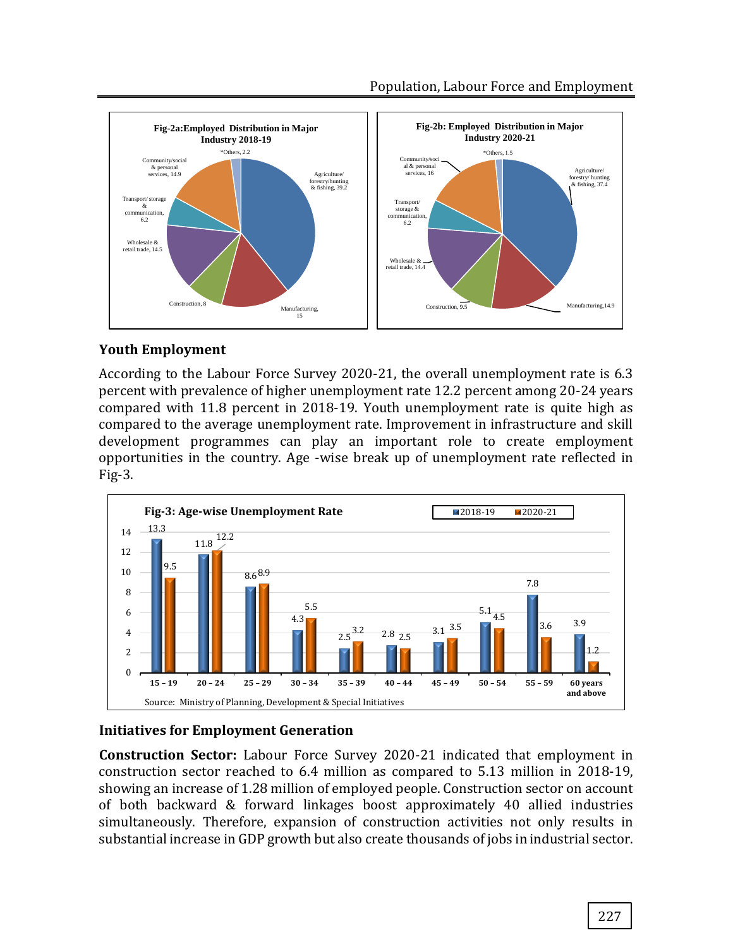



#### **Youth Employment**

According to the Labour Force Survey 2020-21, the overall unemployment rate is 6.3 percent with prevalence of higher unemployment rate 12.2 percent among 20-24 years compared with 11.8 percent in 2018-19. Youth unemployment rate is quite high as compared to the average unemployment rate. Improvement in infrastructure and skill development programmes can play an important role to create employment opportunities in the country. Age -wise break up of unemployment rate reflected in Fig-3.



# **Initiatives for Employment Generation**

**Construction Sector:** Labour Force Survey 2020-21 indicated that employment in construction sector reached to 6.4 million as compared to 5.13 million in 2018-19, showing an increase of 1.28 million of employed people. Construction sector on account of both backward & forward linkages boost approximately 40 allied industries simultaneously. Therefore, expansion of construction activities not only results in substantial increase in GDP growth but also create thousands of jobs in industrial sector.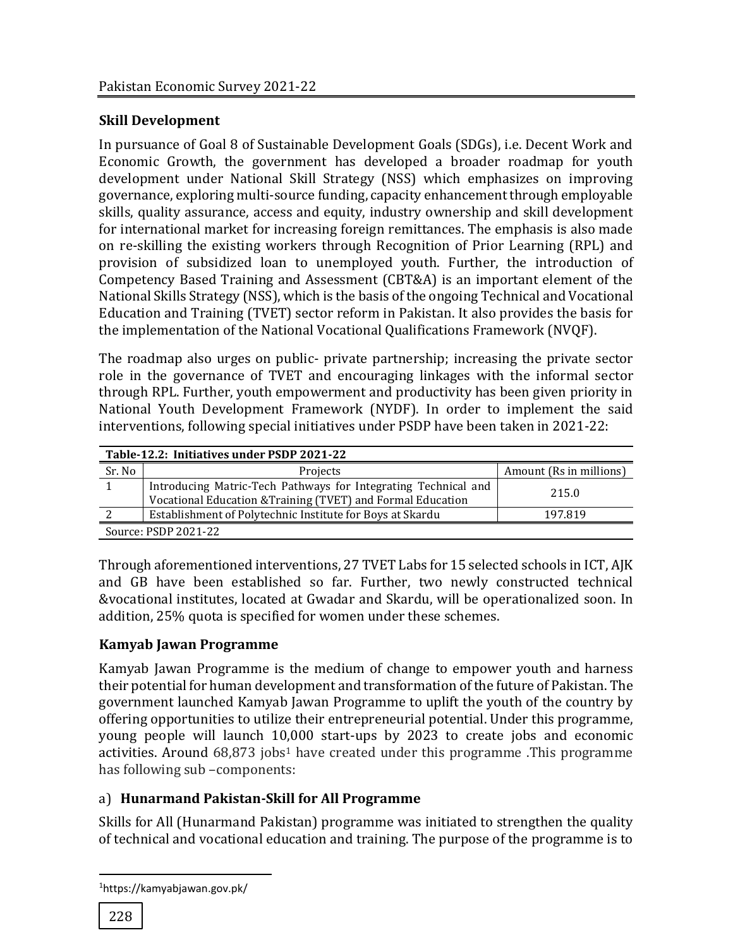# **Skill Development**

In pursuance of Goal 8 of Sustainable Development Goals (SDGs), i.e. Decent Work and Economic Growth, the government has developed a broader roadmap for youth development under National Skill Strategy (NSS) which emphasizes on improving governance, exploring multi-source funding, capacity enhancement through employable skills, quality assurance, access and equity, industry ownership and skill development for international market for increasing foreign remittances. The emphasis is also made on re-skilling the existing workers through Recognition of Prior Learning (RPL) and provision of subsidized loan to unemployed youth. Further, the introduction of Competency Based Training and Assessment (CBT&A) is an important element of the National Skills Strategy (NSS), which is the basis of the ongoing Technical and Vocational Education and Training (TVET) sector reform in Pakistan. It also provides the basis for the implementation of the National Vocational Qualifications Framework (NVQF).

The roadmap also urges on public- private partnership; increasing the private sector role in the governance of TVET and encouraging linkages with the informal sector through RPL. Further, youth empowerment and productivity has been given priority in National Youth Development Framework (NYDF). In order to implement the said interventions, following special initiatives under PSDP have been taken in 2021-22:

| Table-12.2: Initiatives under PSDP 2021-22 |                                                                                                                               |                         |  |  |  |  |
|--------------------------------------------|-------------------------------------------------------------------------------------------------------------------------------|-------------------------|--|--|--|--|
| Sr. No                                     | Projects                                                                                                                      | Amount (Rs in millions) |  |  |  |  |
|                                            | Introducing Matric-Tech Pathways for Integrating Technical and<br>Vocational Education & Training (TVET) and Formal Education | 215.0                   |  |  |  |  |
|                                            | Establishment of Polytechnic Institute for Boys at Skardu                                                                     | 197.819                 |  |  |  |  |
| Source: PSDP 2021-22                       |                                                                                                                               |                         |  |  |  |  |

Through aforementioned interventions, 27 TVET Labs for 15 selected schools in ICT, AJK and GB have been established so far. Further, two newly constructed technical &vocational institutes, located at Gwadar and Skardu, will be operationalized soon. In addition, 25% quota is specified for women under these schemes.

# **Kamyab Jawan Programme**

Kamyab Jawan Programme is the medium of change to empower youth and harness their potential for human development and transformation of the future of Pakistan. The government launched Kamyab Jawan Programme to uplift the youth of the country by offering opportunities to utilize their entrepreneurial potential. Under this programme, young people will launch 10,000 start-ups by 2023 to create jobs and economic activities. Around 68,873 jobs<sup>1</sup> have created under this programme .This programme has following sub –components:

# a) **Hunarmand Pakistan-Skill for All Programme**

Skills for All (Hunarmand Pakistan) programme was initiated to strengthen the quality of technical and vocational education and training. The purpose of the programme is to

 $\overline{a}$ 

<sup>1</sup>https://kamyabjawan.gov.pk/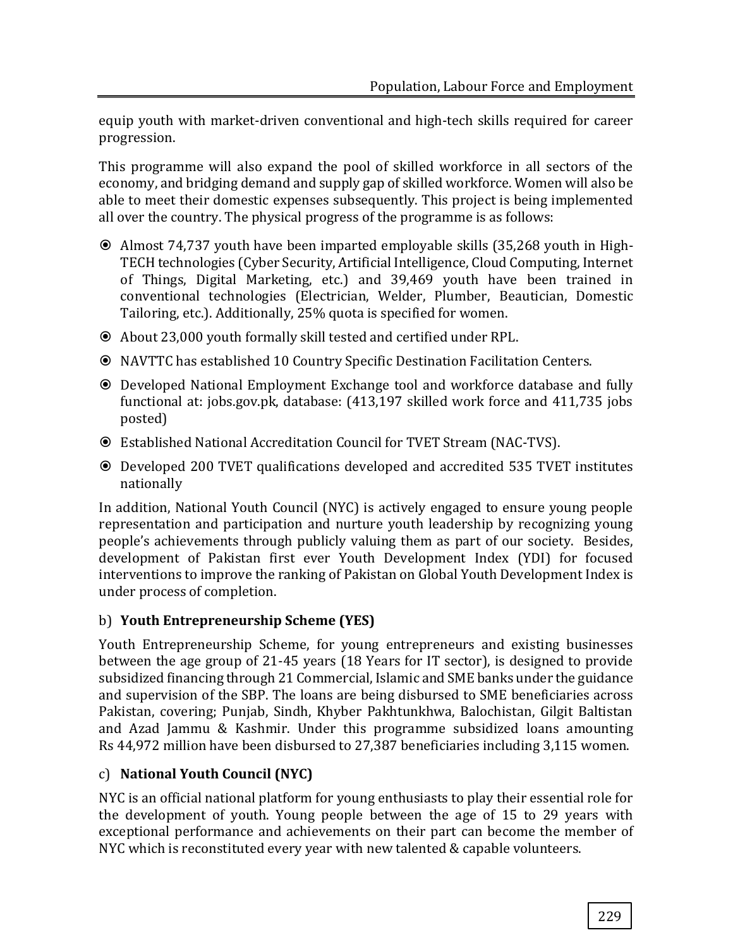equip youth with market-driven conventional and high-tech skills required for career progression.

This programme will also expand the pool of skilled workforce in all sectors of the economy, and bridging demand and supply gap of skilled workforce. Women will also be able to meet their domestic expenses subsequently. This project is being implemented all over the country. The physical progress of the programme is as follows:

- Almost 74,737 youth have been imparted employable skills (35,268 youth in High-TECH technologies (Cyber Security, Artificial Intelligence, Cloud Computing, Internet of Things, Digital Marketing, etc.) and 39,469 youth have been trained in conventional technologies (Electrician, Welder, Plumber, Beautician, Domestic Tailoring, etc.). Additionally, 25% quota is specified for women.
- About 23,000 youth formally skill tested and certified under RPL.
- NAVTTC has established 10 Country Specific Destination Facilitation Centers.
- Developed National Employment Exchange tool and workforce database and fully functional at: jobs.gov.pk, database: (413,197 skilled work force and 411,735 jobs posted)
- Established National Accreditation Council for TVET Stream (NAC-TVS).
- Developed 200 TVET qualifications developed and accredited 535 TVET institutes nationally

In addition, National Youth Council (NYC) is actively engaged to ensure young people representation and participation and nurture youth leadership by recognizing young people's achievements through publicly valuing them as part of our society. Besides, development of Pakistan first ever Youth Development Index (YDI) for focused interventions to improve the ranking of Pakistan on Global Youth Development Index is under process of completion.

# b) **Youth Entrepreneurship Scheme (YES)**

Youth Entrepreneurship Scheme, for young entrepreneurs and existing businesses between the age group of 21-45 years (18 Years for IT sector), is designed to provide subsidized financing through 21 Commercial, Islamic and SME banks under the guidance and supervision of the SBP. The loans are being disbursed to SME beneficiaries across Pakistan, covering; Punjab, Sindh, Khyber Pakhtunkhwa, Balochistan, Gilgit Baltistan and Azad Jammu & Kashmir. Under this programme subsidized loans amounting Rs 44,972 million have been disbursed to 27,387 beneficiaries including 3,115 women.

# c) **National Youth Council (NYC)**

NYC is an official national platform for young enthusiasts to play their essential role for the development of youth. Young people between the age of 15 to 29 years with exceptional performance and achievements on their part can become the member of NYC which is reconstituted every year with new talented & capable volunteers.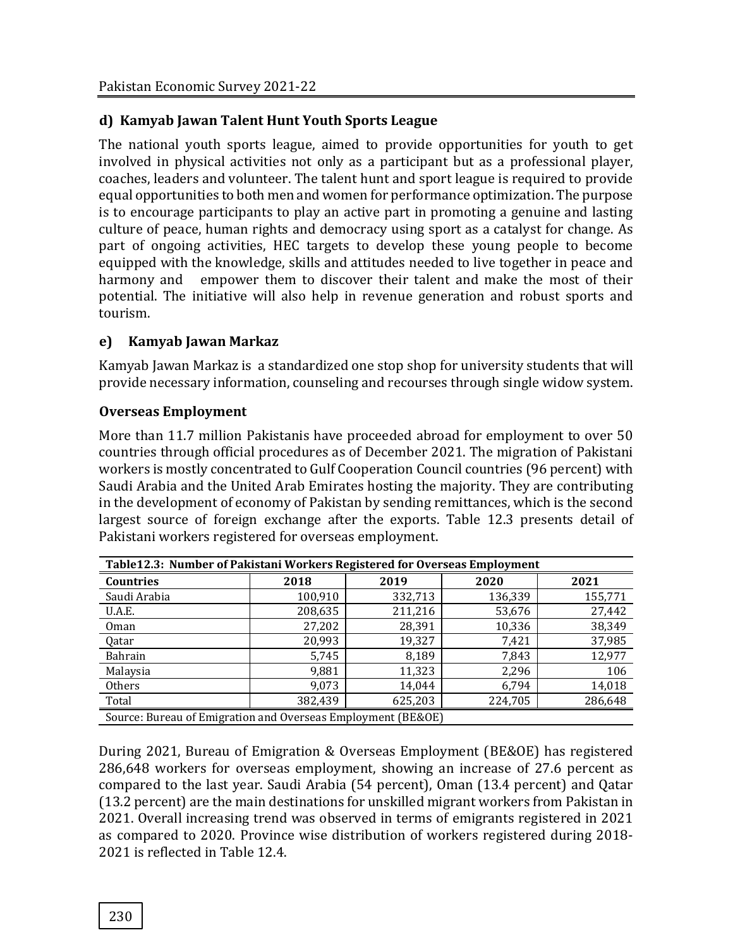#### **d) Kamyab Jawan Talent Hunt Youth Sports League**

The national youth sports league, aimed to provide opportunities for youth to get involved in physical activities not only as a participant but as a professional player, coaches, leaders and volunteer. The talent hunt and sport league is required to provide equal opportunities to both men and women for performance optimization. The purpose is to encourage participants to play an active part in promoting a genuine and lasting culture of peace, human rights and democracy using sport as a catalyst for change. As part of ongoing activities, HEC targets to develop these young people to become equipped with the knowledge, skills and attitudes needed to live together in peace and harmony and empower them to discover their talent and make the most of their potential. The initiative will also help in revenue generation and robust sports and tourism.

#### **e) Kamyab Jawan Markaz**

Kamyab Jawan Markaz is a standardized one stop shop for university students that will provide necessary information, counseling and recourses through single widow system.

#### **Overseas Employment**

More than 11.7 million Pakistanis have proceeded abroad for employment to over 50 countries through official procedures as of December 2021. The migration of Pakistani workers is mostly concentrated to Gulf Cooperation Council countries (96 percent) with Saudi Arabia and the United Arab Emirates hosting the majority. They are contributing in the development of economy of Pakistan by sending remittances, which is the second largest source of foreign exchange after the exports. Table 12.3 presents detail of Pakistani workers registered for overseas employment.

| Table12.3: Number of Pakistani Workers Registered for Overseas Employment |         |              |         |         |  |
|---------------------------------------------------------------------------|---------|--------------|---------|---------|--|
| <b>Countries</b>                                                          | 2018    | 2019<br>2020 |         | 2021    |  |
| Saudi Arabia                                                              | 100,910 | 332,713      | 136,339 | 155,771 |  |
| U.A.E.                                                                    | 208,635 | 211,216      | 53,676  | 27,442  |  |
| 0 <sub>man</sub>                                                          | 27,202  | 28,391       | 10,336  | 38,349  |  |
| Qatar                                                                     | 20,993  | 19,327       | 7,421   | 37,985  |  |
| Bahrain                                                                   | 5,745   | 8,189        | 7,843   | 12,977  |  |
| Malaysia                                                                  | 9,881   | 11,323       | 2,296   | 106     |  |
| Others                                                                    | 9,073   | 14,044       | 6,794   | 14,018  |  |
| Total                                                                     | 382,439 | 625,203      | 224,705 | 286,648 |  |
| Source: Bureau of Emigration and Overseas Employment (BE&OE)              |         |              |         |         |  |

During 2021, Bureau of Emigration & Overseas Employment (BE&OE) has registered 286,648 workers for overseas employment, showing an increase of 27.6 percent as compared to the last year. Saudi Arabia (54 percent), Oman (13.4 percent) and Qatar (13.2 percent) are the main destinations for unskilled migrant workers from Pakistan in 2021. Overall increasing trend was observed in terms of emigrants registered in 2021 as compared to 2020. Province wise distribution of workers registered during 2018- 2021 is reflected in Table 12.4.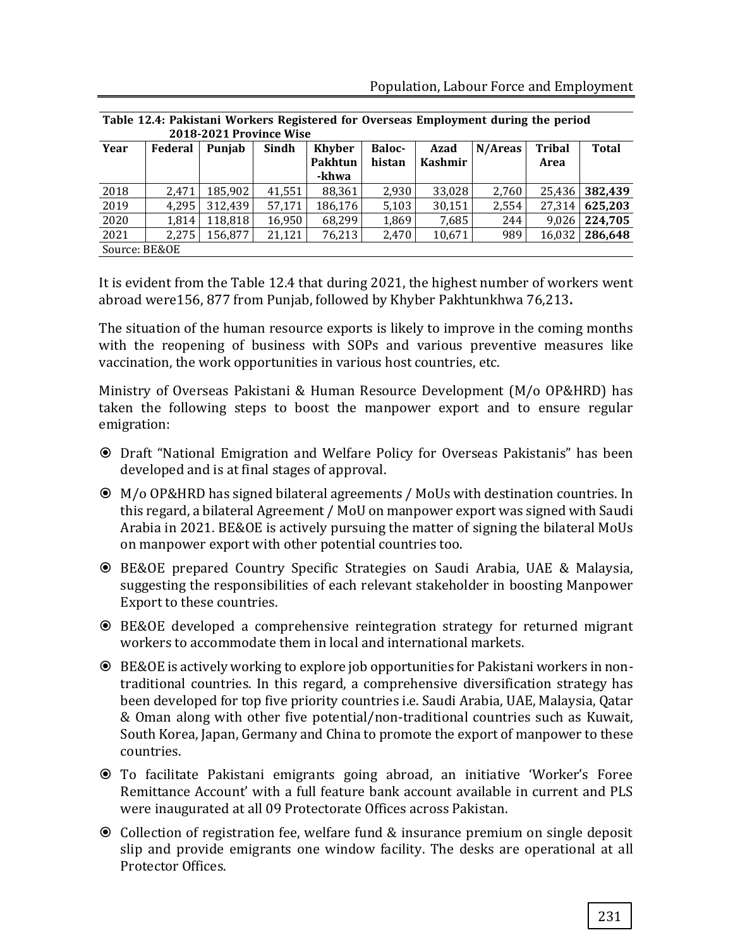| 2018-2021 Province Wise |         |         |        |               |               |                |         |               |              |
|-------------------------|---------|---------|--------|---------------|---------------|----------------|---------|---------------|--------------|
| Year                    | Federal | Punjab  | Sindh  | <b>Khyber</b> | <b>Baloc-</b> | Azad           | N/Areas | <b>Tribal</b> | <b>Total</b> |
|                         |         |         |        | Pakhtun       | histan        | <b>Kashmir</b> |         | Area          |              |
|                         |         |         |        | -khwa         |               |                |         |               |              |
| 2018                    | 2.471   | 185,902 | 41,551 | 88,361        | 2,930         | 33,028         | 2,760   | 25.436        | 382.439      |
| 2019                    | 4.295   | 312,439 | 57,171 | 186,176       | 5,103         | 30,151         | 2,554   | 27.314        | 625,203      |
| 2020                    | 1.814   | 118.818 | 16,950 | 68,299        | 1.869         | 7,685          | 244     | 9.026         | 224.705      |
| 2021                    | 2.275   | 156.877 | 21.121 | 76,213        | 2,470         | 10,671         | 989     | 16.032        | 286,648      |
| Source: BE&OE           |         |         |        |               |               |                |         |               |              |

**Table 12.4: Pakistani Workers Registered for Overseas Employment during the period** 

It is evident from the Table 12.4 that during 2021, the highest number of workers went abroad were156, 877 from Punjab, followed by Khyber Pakhtunkhwa 76,213**.**

The situation of the human resource exports is likely to improve in the coming months with the reopening of business with SOPs and various preventive measures like vaccination, the work opportunities in various host countries, etc.

Ministry of Overseas Pakistani & Human Resource Development (M/o OP&HRD) has taken the following steps to boost the manpower export and to ensure regular emigration:

- Draft "National Emigration and Welfare Policy for Overseas Pakistanis" has been developed and is at final stages of approval.
- M/o OP&HRD has signed bilateral agreements / MoUs with destination countries. In this regard, a bilateral Agreement / MoU on manpower export was signed with Saudi Arabia in 2021. BE&OE is actively pursuing the matter of signing the bilateral MoUs on manpower export with other potential countries too.
- BE&OE prepared Country Specific Strategies on Saudi Arabia, UAE & Malaysia, suggesting the responsibilities of each relevant stakeholder in boosting Manpower Export to these countries.
- BE&OE developed a comprehensive reintegration strategy for returned migrant workers to accommodate them in local and international markets.
- BE&OE is actively working to explore job opportunities for Pakistani workers in nontraditional countries. In this regard, a comprehensive diversification strategy has been developed for top five priority countries i.e. Saudi Arabia, UAE, Malaysia, Qatar & Oman along with other five potential/non-traditional countries such as Kuwait, South Korea, Japan, Germany and China to promote the export of manpower to these countries.
- To facilitate Pakistani emigrants going abroad, an initiative 'Worker's Foree Remittance Account' with a full feature bank account available in current and PLS were inaugurated at all 09 Protectorate Offices across Pakistan.
- Collection of registration fee, welfare fund & insurance premium on single deposit slip and provide emigrants one window facility. The desks are operational at all Protector Offices.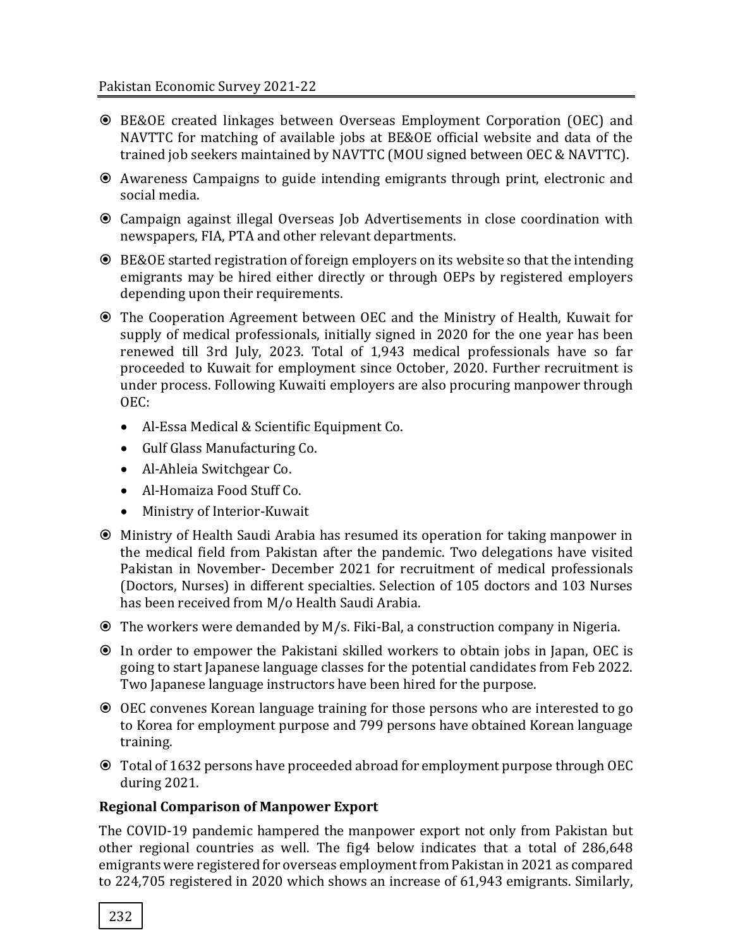- BE&OE created linkages between Overseas Employment Corporation (OEC) and NAVTTC for matching of available jobs at BE&OE official website and data of the trained job seekers maintained by NAVTTC (MOU signed between OEC & NAVTTC).
- Awareness Campaigns to guide intending emigrants through print, electronic and social media.
- Campaign against illegal Overseas Job Advertisements in close coordination with newspapers, FIA, PTA and other relevant departments.
- BE&OE started registration of foreign employers on its website so that the intending emigrants may be hired either directly or through OEPs by registered employers depending upon their requirements.
- The Cooperation Agreement between OEC and the Ministry of Health, Kuwait for supply of medical professionals, initially signed in 2020 for the one year has been renewed till 3rd July, 2023. Total of 1,943 medical professionals have so far proceeded to Kuwait for employment since October, 2020. Further recruitment is under process. Following Kuwaiti employers are also procuring manpower through OEC:
	- Al-Essa Medical & Scientific Equipment Co.
	- Gulf Glass Manufacturing Co.
	- Al-Ahleia Switchgear Co.
	- Al-Homaiza Food Stuff Co.
	- Ministry of Interior-Kuwait
- Ministry of Health Saudi Arabia has resumed its operation for taking manpower in the medical field from Pakistan after the pandemic. Two delegations have visited Pakistan in November- December 2021 for recruitment of medical professionals (Doctors, Nurses) in different specialties. Selection of 105 doctors and 103 Nurses has been received from M/o Health Saudi Arabia.
- The workers were demanded by M/s. Fiki-Bal, a construction company in Nigeria.
- In order to empower the Pakistani skilled workers to obtain jobs in Japan, OEC is going to start Japanese language classes for the potential candidates from Feb 2022. Two Japanese language instructors have been hired for the purpose.
- OEC convenes Korean language training for those persons who are interested to go to Korea for employment purpose and 799 persons have obtained Korean language training.
- Total of 1632 persons have proceeded abroad for employment purpose through OEC during 2021.

#### **Regional Comparison of Manpower Export**

The COVID-19 pandemic hampered the manpower export not only from Pakistan but other regional countries as well. The fig4 below indicates that a total of 286,648 emigrants were registered for overseas employment from Pakistan in 2021 as compared to 224,705 registered in 2020 which shows an increase of 61,943 emigrants. Similarly,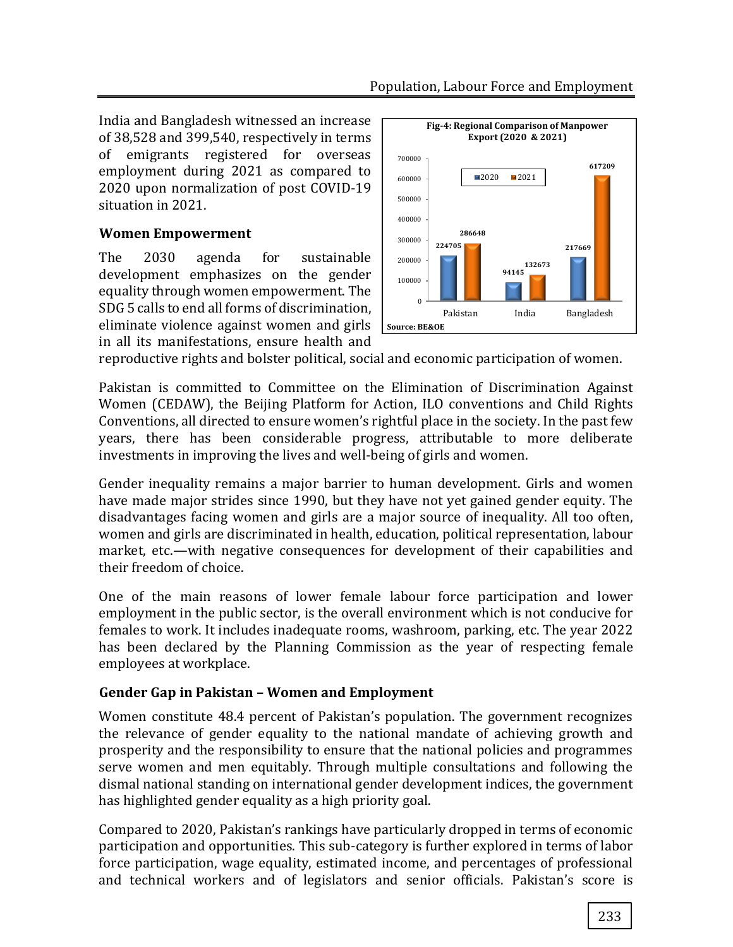India and Bangladesh witnessed an increase of 38,528 and 399,540, respectively in terms of emigrants registered for overseas employment during 2021 as compared to 2020 upon normalization of post COVID-19 situation in 2021.

# **Women Empowerment**

The 2030 agenda for sustainable development emphasizes on the gender equality through women empowerment. The SDG 5 calls to end all forms of discrimination, eliminate violence against women and girls in all its manifestations, ensure health and



reproductive rights and bolster political, social and economic participation of women.

Pakistan is committed to Committee on the Elimination of Discrimination Against Women (CEDAW), the Beijing Platform for Action, ILO conventions and Child Rights Conventions, all directed to ensure women's rightful place in the society. In the past few years, there has been considerable progress, attributable to more deliberate investments in improving the lives and well-being of girls and women.

Gender inequality remains a major barrier to human development. Girls and women have made major strides since 1990, but they have not yet gained gender equity. The disadvantages facing women and girls are a major source of inequality. All too often, women and girls are discriminated in health, education, political representation, labour market, etc.—with negative consequences for development of their capabilities and their freedom of choice.

One of the main reasons of lower female labour force participation and lower employment in the public sector, is the overall environment which is not conducive for females to work. It includes inadequate rooms, washroom, parking, etc. The year 2022 has been declared by the Planning Commission as the year of respecting female employees at workplace.

# **Gender Gap in Pakistan – Women and Employment**

Women constitute 48.4 percent of Pakistan's population. The government recognizes the relevance of gender equality to the national mandate of achieving growth and prosperity and the responsibility to ensure that the national policies and programmes serve women and men equitably. Through multiple consultations and following the dismal national standing on international gender development indices, the government has highlighted gender equality as a high priority goal.

Compared to 2020, Pakistan's rankings have particularly dropped in terms of economic participation and opportunities. This sub-category is further explored in terms of labor force participation, wage equality, estimated income, and percentages of professional and technical workers and of legislators and senior officials. Pakistan's score is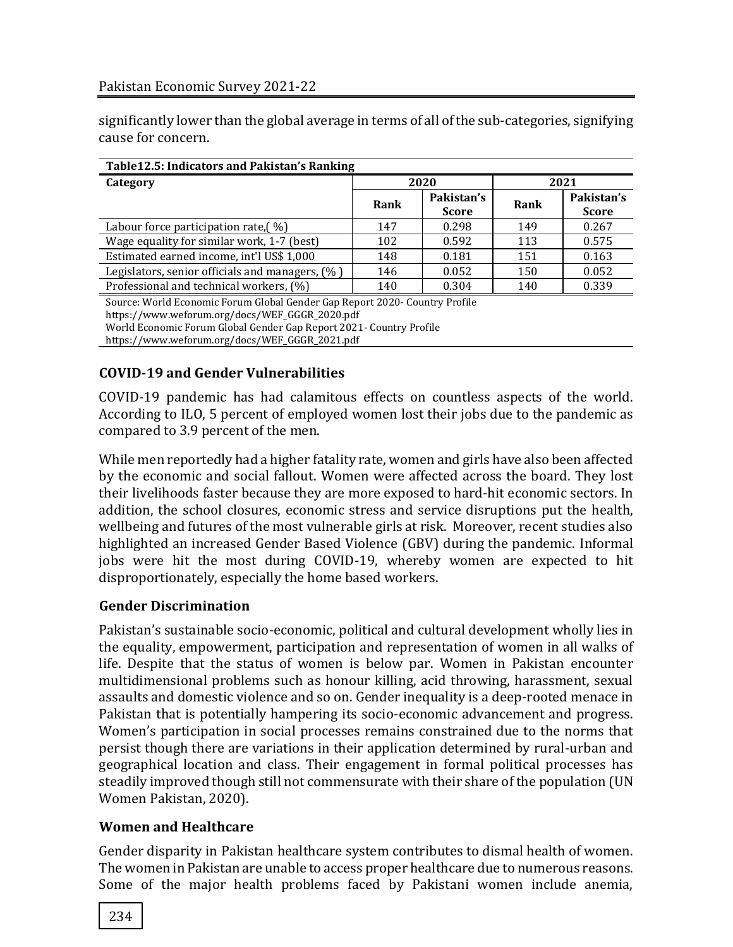significantly lower than the global average in terms of all of the sub-categories, signifying cause for concern.

| Table 12.5: Indicators and Pakistan's Ranking                               |      |                            |      |                            |  |  |
|-----------------------------------------------------------------------------|------|----------------------------|------|----------------------------|--|--|
| Category                                                                    | 2020 |                            | 2021 |                            |  |  |
|                                                                             | Rank | Pakistan's<br><b>Score</b> | Rank | Pakistan's<br><b>Score</b> |  |  |
| Labour force participation rate, $(\%)$                                     | 147  | 0.298                      | 149  | 0.267                      |  |  |
| Wage equality for similar work, 1-7 (best)                                  | 102  | 0.592                      | 113  | 0.575                      |  |  |
| Estimated earned income, int'l US\$ 1,000                                   | 148  | 0.181                      | 151  | 0.163                      |  |  |
| Legislators, senior officials and managers, (%)                             | 146  | 0.052                      | 150  | 0.052                      |  |  |
| Professional and technical workers, (%)                                     | 140  | 0.304                      | 140  | 0.339                      |  |  |
| Source: World Fconomic Forum Global Gender Gan Report 2020- Country Profile |      |                            |      |                            |  |  |

: World Economic Forum Global Gender Gap Report 2020- Country Pro

https://www.weforum.org/docs/WEF\_GGGR\_2020.pdf World Economic Forum Global Gender Gap Report 2021- Country Profile

https://www.weforum.org/docs/WEF\_GGGR\_2021.pdf

# **COVID-19 and Gender Vulnerabilities**

COVID-19 pandemic has had calamitous effects on countless aspects of the world. According to ILO, 5 percent of employed women lost their jobs due to the pandemic as compared to 3.9 percent of the men.

While men reportedly had a higher fatality rate, women and girls have also been affected by the economic and social fallout. Women were affected across the board. They lost their livelihoods faster because they are more exposed to hard-hit economic sectors. In addition, the school closures, economic stress and service disruptions put the health, wellbeing and futures of the most vulnerable girls at risk. Moreover, recent studies also highlighted an increased Gender Based Violence (GBV) during the pandemic. Informal jobs were hit the most during COVID-19, whereby women are expected to hit disproportionately, especially the home based workers.

# **Gender Discrimination**

Pakistan's sustainable socio-economic, political and cultural development wholly lies in the equality, empowerment, participation and representation of women in all walks of life. Despite that the status of women is below par. Women in Pakistan encounter multidimensional problems such as honour killing, acid throwing, harassment, sexual assaults and domestic violence and so on. Gender inequality is a deep-rooted menace in Pakistan that is potentially hampering its socio-economic advancement and progress. Women's participation in social processes remains constrained due to the norms that persist though there are variations in their application determined by rural-urban and geographical location and class. Their engagement in formal political processes has steadily improved though still not commensurate with their share of the population (UN Women Pakistan, 2020).

# **Women and Healthcare**

Gender disparity in Pakistan healthcare system contributes to dismal health of women. The women in Pakistan are unable to access proper healthcare due to numerous reasons. Some of the major health problems faced by Pakistani women include anemia,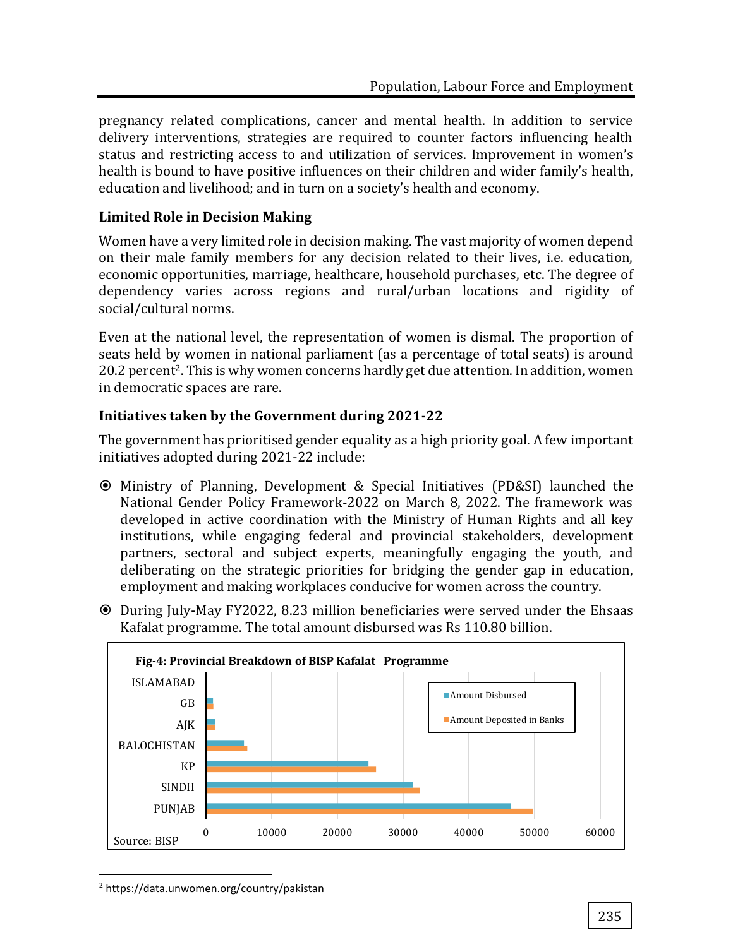pregnancy related complications, cancer and mental health. In addition to service delivery interventions, strategies are required to counter factors influencing health status and restricting access to and utilization of services. Improvement in women's health is bound to have positive influences on their children and wider family's health, education and livelihood; and in turn on a society's health and economy.

# **Limited Role in Decision Making**

Women have a very limited role in decision making. The vast majority of women depend on their male family members for any decision related to their lives, i.e. education, economic opportunities, marriage, healthcare, household purchases, etc. The degree of dependency varies across regions and rural/urban locations and rigidity of social/cultural norms.

Even at the national level, the representation of women is dismal. The proportion of seats held by women in national parliament (as a percentage of total seats) is around 20.2 percent<sup>2</sup>. This is why women concerns hardly get due attention. In addition, women in democratic spaces are rare.

# **Initiatives taken by the Government during 2021-22**

The government has prioritised gender equality as a high priority goal. A few important initiatives adopted during 2021-22 include:

- Ministry of Planning, Development & Special Initiatives (PD&SI) launched the National Gender Policy Framework-2022 on March 8, 2022. The framework was developed in active coordination with the Ministry of Human Rights and all key institutions, while engaging federal and provincial stakeholders, development partners, sectoral and subject experts, meaningfully engaging the youth, and deliberating on the strategic priorities for bridging the gender gap in education, employment and making workplaces conducive for women across the country.
- During July-May FY2022, 8.23 million beneficiaries were served under the Ehsaas Kafalat programme. The total amount disbursed was Rs 110.80 billion.



<sup>2</sup> https://data.unwomen.org/country/pakistan

 $\overline{a}$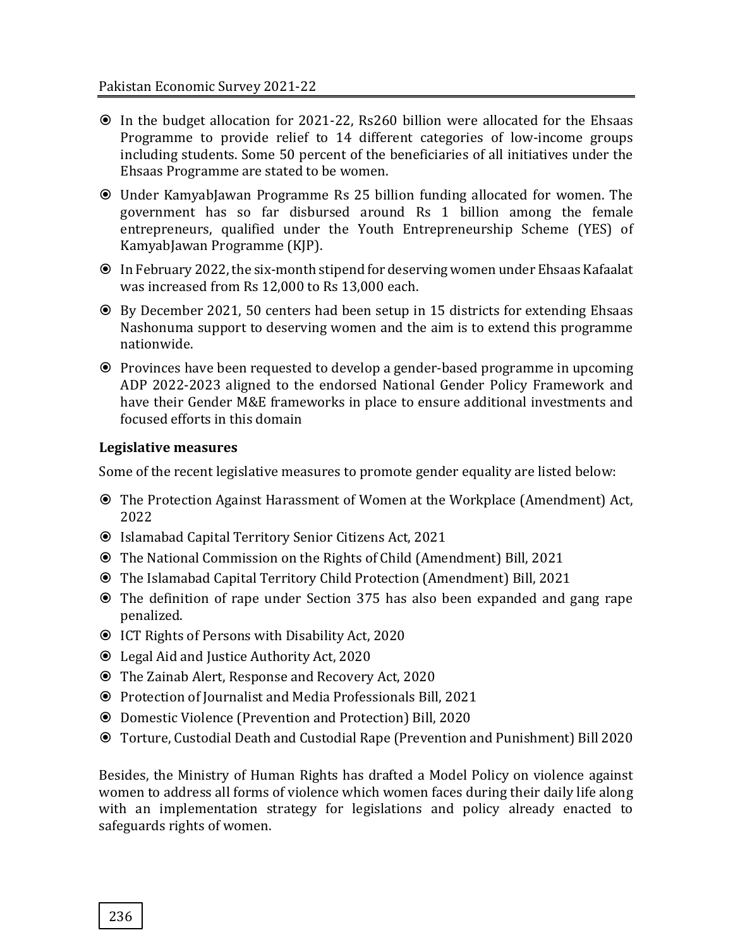- In the budget allocation for 2021-22, Rs260 billion were allocated for the Ehsaas Programme to provide relief to 14 different categories of low-income groups including students. Some 50 percent of the beneficiaries of all initiatives under the Ehsaas Programme are stated to be women.
- Under KamyabJawan Programme Rs 25 billion funding allocated for women. The government has so far disbursed around Rs 1 billion among the female entrepreneurs, qualified under the Youth Entrepreneurship Scheme (YES) of KamyabJawan Programme (KJP).
- In February 2022, the six-month stipend for deserving women under Ehsaas Kafaalat was increased from Rs 12,000 to Rs 13,000 each.
- By December 2021, 50 centers had been setup in 15 districts for extending Ehsaas Nashonuma support to deserving women and the aim is to extend this programme nationwide.
- Provinces have been requested to develop a gender-based programme in upcoming ADP 2022-2023 aligned to the endorsed National Gender Policy Framework and have their Gender M&E frameworks in place to ensure additional investments and focused efforts in this domain

#### **Legislative measures**

Some of the recent legislative measures to promote gender equality are listed below:

- The Protection Against Harassment of Women at the Workplace (Amendment) Act, 2022
- Islamabad Capital Territory Senior Citizens Act, 2021
- The National Commission on the Rights of Child (Amendment) Bill, 2021
- The Islamabad Capital Territory Child Protection (Amendment) Bill, 2021
- The definition of rape under Section 375 has also been expanded and gang rape penalized.
- ICT Rights of Persons with Disability Act, 2020
- Legal Aid and Justice Authority Act, 2020
- The Zainab Alert, Response and Recovery Act, 2020
- Protection of Journalist and Media Professionals Bill, 2021
- Domestic Violence (Prevention and Protection) Bill, 2020
- Torture, Custodial Death and Custodial Rape (Prevention and Punishment) Bill 2020

Besides, the Ministry of Human Rights has drafted a Model Policy on violence against women to address all forms of violence which women faces during their daily life along with an implementation strategy for legislations and policy already enacted to safeguards rights of women.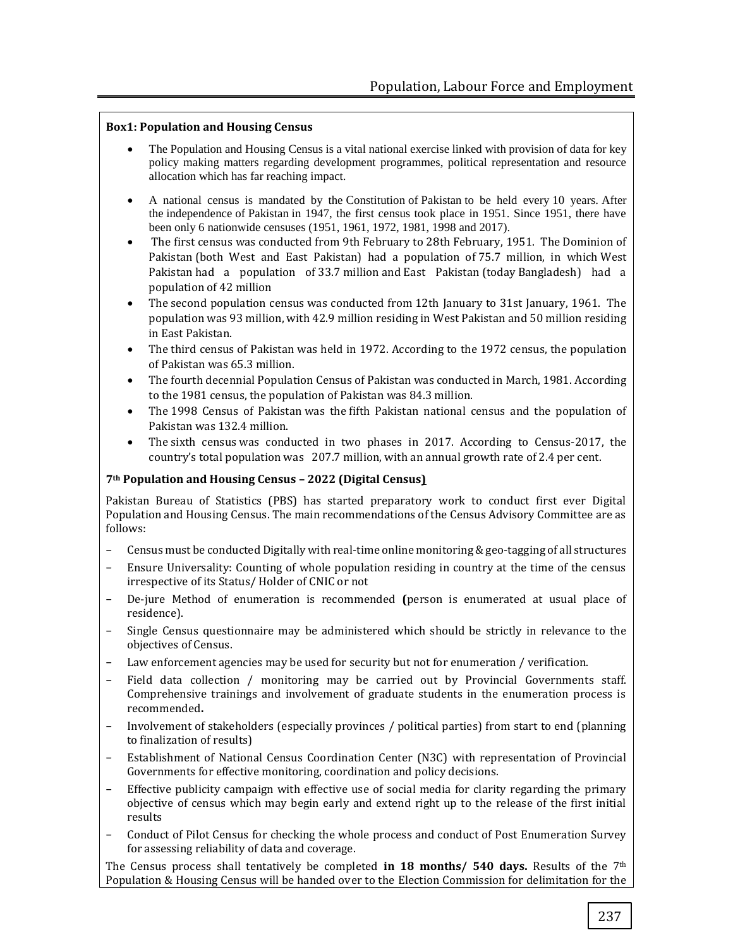#### **Box1: Population and Housing Census**

- The Population and Housing Census is a vital national exercise linked with provision of data for key policy making matters regarding development programmes, political representation and resource allocation which has far reaching impact.
- A national census is mandated by the Constitution of Pakistan to be held every 10 years. After the independence of Pakistan in 1947, the first census took place in 1951. Since 1951, there have been only 6 nationwide censuses (1951, 1961, 1972, 1981, 1998 and 2017).
- The first census was conducted from 9th February to 28th February, 1951. The Dominion of Pakistan (both West and East Pakistan) had a population of 75.7 million, in which West Pakistan had a population of 33.7 million and East Pakistan (today Bangladesh) had a population of 42 million
- The second population census was conducted from 12th January to 31st January, 1961. The population was 93 million, with 42.9 million residing in West Pakistan and 50 million residing in East Pakistan.
- The third census of Pakistan was held in 1972. According to the 1972 census, the population of Pakistan was 65.3 million.
- The fourth decennial Population Census of Pakistan was conducted in March, 1981. According to the 1981 census, the population of Pakistan was 84.3 million.
- The 1998 Census of Pakistan was the fifth Pakistan national census and the population of Pakistan was 132.4 million.
- The sixth census was conducted in two phases in 2017. According to Census-2017, the country's total population was 207.7 million, with an annual growth rate of 2.4 per cent.

#### **7th Population and Housing Census – 2022 (Digital Census)**

Pakistan Bureau of Statistics (PBS) has started preparatory work to conduct first ever Digital Population and Housing Census. The main recommendations of the Census Advisory Committee are as follows:

- Census must be conducted Digitally with real-time online monitoring & geo-tagging of all structures
- Ensure Universality: Counting of whole population residing in country at the time of the census irrespective of its Status/ Holder of CNIC or not
- − De-jure Method of enumeration is recommended **(**person is enumerated at usual place of residence).
- Single Census questionnaire may be administered which should be strictly in relevance to the objectives of Census.
- − Law enforcement agencies may be used for security but not for enumeration / verification.
- Field data collection / monitoring may be carried out by Provincial Governments staff. Comprehensive trainings and involvement of graduate students in the enumeration process is recommended**.**
- Involvement of stakeholders (especially provinces / political parties) from start to end (planning to finalization of results)
- − Establishment of National Census Coordination Center (N3C) with representation of Provincial Governments for effective monitoring, coordination and policy decisions.
- Effective publicity campaign with effective use of social media for clarity regarding the primary objective of census which may begin early and extend right up to the release of the first initial results
- − Conduct of Pilot Census for checking the whole process and conduct of Post Enumeration Survey for assessing reliability of data and coverage.

The Census process shall tentatively be completed **in 18 months/ 540 days.** Results of the 7th Population & Housing Census will be handed over to the Election Commission for delimitation for the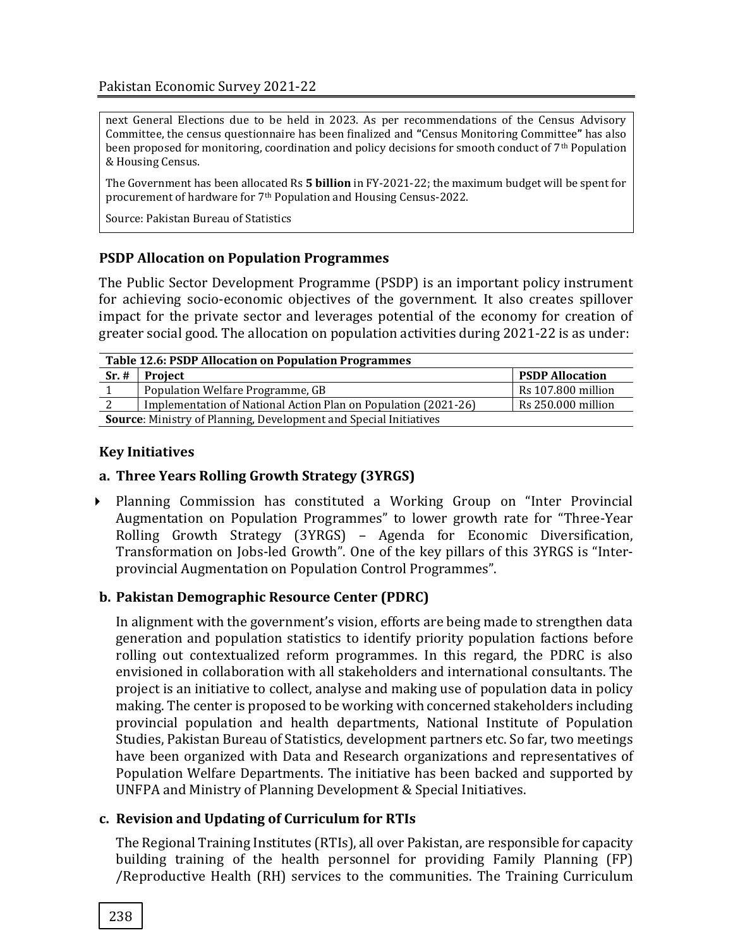next General Elections due to be held in 2023. As per recommendations of the Census Advisory Committee, the census questionnaire has been finalized and **"**Census Monitoring Committee**"** has also been proposed for monitoring, coordination and policy decisions for smooth conduct of  $7<sup>th</sup>$  Population & Housing Census.

The Government has been allocated Rs **5 billion** in FY-2021-22; the maximum budget will be spent for procurement of hardware for 7th Population and Housing Census-2022.

Source: Pakistan Bureau of Statistics

#### **PSDP Allocation on Population Programmes**

The Public Sector Development Programme (PSDP) is an important policy instrument for achieving socio-economic objectives of the government. It also creates spillover impact for the private sector and leverages potential of the economy for creation of greater social good. The allocation on population activities during 2021-22 is as under:

| <b>Table 12.6: PSDP Allocation on Population Programmes</b>       |                                                                |                        |  |  |
|-------------------------------------------------------------------|----------------------------------------------------------------|------------------------|--|--|
| Sr.#                                                              | <b>Project</b>                                                 | <b>PSDP Allocation</b> |  |  |
|                                                                   | Population Welfare Programme, GB                               | Rs 107.800 million     |  |  |
|                                                                   | Implementation of National Action Plan on Population (2021-26) | Rs 250.000 million     |  |  |
| Source: Ministry of Planning, Development and Special Initiatives |                                                                |                        |  |  |

#### **Key Initiatives**

#### **a. Three Years Rolling Growth Strategy (3YRGS)**

 Planning Commission has constituted a Working Group on "Inter Provincial Augmentation on Population Programmes" to lower growth rate for "Three-Year Rolling Growth Strategy (3YRGS) – Agenda for Economic Diversification, Transformation on Jobs-led Growth". One of the key pillars of this 3YRGS is "Interprovincial Augmentation on Population Control Programmes".

#### **b. Pakistan Demographic Resource Center (PDRC)**

In alignment with the government's vision, efforts are being made to strengthen data generation and population statistics to identify priority population factions before rolling out contextualized reform programmes. In this regard, the PDRC is also envisioned in collaboration with all stakeholders and international consultants. The project is an initiative to collect, analyse and making use of population data in policy making. The center is proposed to be working with concerned stakeholders including provincial population and health departments, National Institute of Population Studies, Pakistan Bureau of Statistics, development partners etc. So far, two meetings have been organized with Data and Research organizations and representatives of Population Welfare Departments. The initiative has been backed and supported by UNFPA and Ministry of Planning Development & Special Initiatives.

#### **c. Revision and Updating of Curriculum for RTIs**

The Regional Training Institutes (RTIs), all over Pakistan, are responsible for capacity building training of the health personnel for providing Family Planning (FP) /Reproductive Health (RH) services to the communities. The Training Curriculum